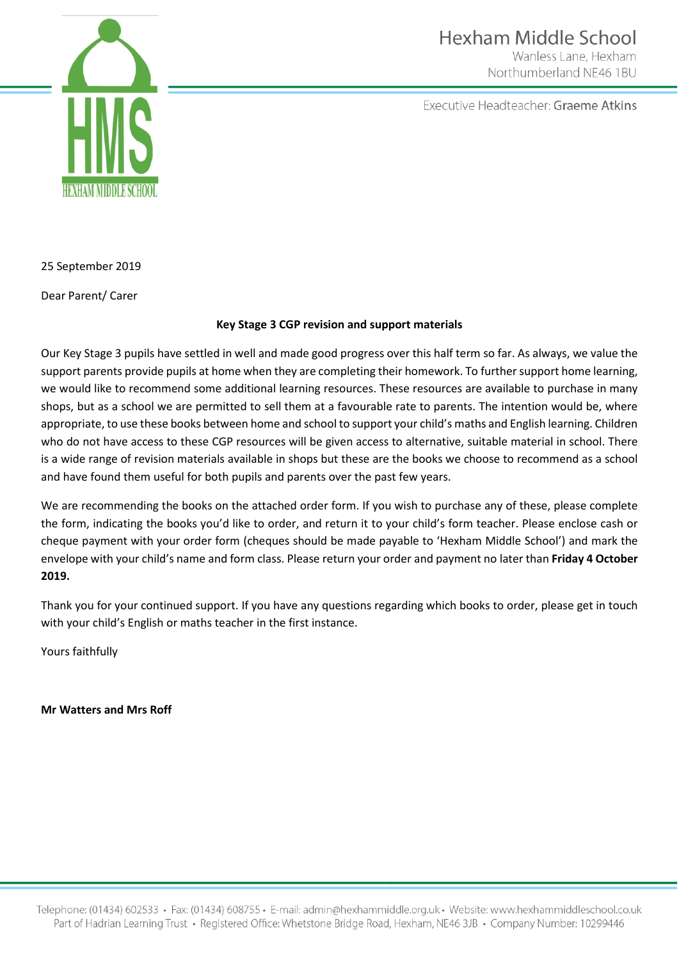

Executive Headteacher: Graeme Atkins



25 September 2019

Dear Parent/ Carer

## **Key Stage 3 CGP revision and support materials**

Our Key Stage 3 pupils have settled in well and made good progress over this half term so far. As always, we value the support parents provide pupils at home when they are completing their homework. To further support home learning, we would like to recommend some additional learning resources. These resources are available to purchase in many shops, but as a school we are permitted to sell them at a favourable rate to parents. The intention would be, where appropriate, to use these books between home and school to support your child's maths and English learning. Children who do not have access to these CGP resources will be given access to alternative, suitable material in school. There is a wide range of revision materials available in shops but these are the books we choose to recommend as a school and have found them useful for both pupils and parents over the past few years.

We are recommending the books on the attached order form. If you wish to purchase any of these, please complete the form, indicating the books you'd like to order, and return it to your child's form teacher. Please enclose cash or cheque payment with your order form (cheques should be made payable to 'Hexham Middle School') and mark the envelope with your child's name and form class. Please return your order and payment no later than **Friday 4 October 2019.**

Thank you for your continued support. If you have any questions regarding which books to order, please get in touch with your child's English or maths teacher in the first instance.

Yours faithfully

**Mr Watters and Mrs Roff**